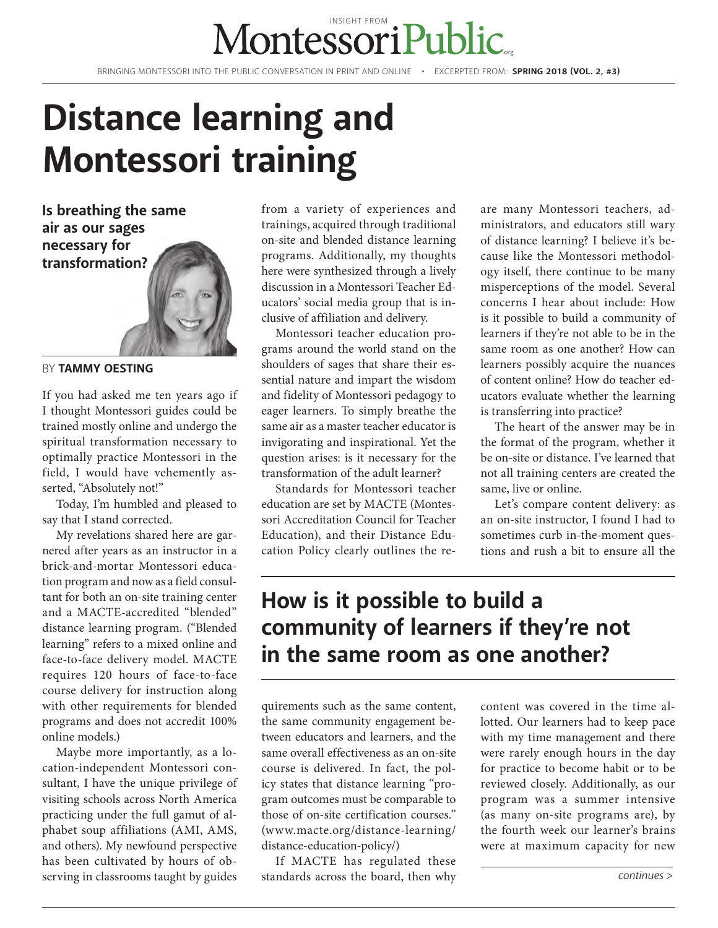# MontessoriPul

BRINGING MONTESSORI INTO THE PUBLIC CONVERSATION IN PRINT AND ONLINE • EXCERPTED FROM: **SPRING 2018 (VOL. 2, #3)**

## **Distance learning and Montessori training**

**Is breathing the same air as our sages necessary for transformation?**



BY **TAMMY OESTING**

If you had asked me ten years ago if I thought Montessori guides could be trained mostly online and undergo the spiritual transformation necessary to optimally practice Montessori in the field, I would have vehemently asserted, "Absolutely not!"

Today, I'm humbled and pleased to say that I stand corrected.

My revelations shared here are garnered after years as an instructor in a brick-and-mortar Montessori education program and now as a field consultant for both an on-site training center and a MACTE-accredited "blended" distance learning program. ("Blended learning" refers to a mixed online and face-to-face delivery model. MACTE requires 120 hours of face-to-face course delivery for instruction along with other requirements for blended programs and does not accredit 100% online models.)

Maybe more importantly, as a location-independent Montessori consultant, I have the unique privilege of visiting schools across North America practicing under the full gamut of alphabet soup affiliations (AMI, AMS, and others). My newfound perspective has been cultivated by hours of observing in classrooms taught by guides from a variety of experiences and trainings, acquired through traditional on-site and blended distance learning programs. Additionally, my thoughts here were synthesized through a lively discussion in a Montessori Teacher Educators' social media group that is inclusive of affiliation and delivery.

Montessori teacher education programs around the world stand on the shoulders of sages that share their essential nature and impart the wisdom and fidelity of Montessori pedagogy to eager learners. To simply breathe the same air as a master teacher educator is invigorating and inspirational. Yet the question arises: is it necessary for the transformation of the adult learner?

Standards for Montessori teacher education are set by MACTE (Montessori Accreditation Council for Teacher Education), and their Distance Education Policy clearly outlines the re-

are many Montessori teachers, administrators, and educators still wary of distance learning? I believe it's because like the Montessori methodology itself, there continue to be many misperceptions of the model. Several concerns I hear about include: How is it possible to build a community of learners if they're not able to be in the same room as one another? How can learners possibly acquire the nuances of content online? How do teacher educators evaluate whether the learning is transferring into practice?

The heart of the answer may be in the format of the program, whether it be on-site or distance. I've learned that not all training centers are created the same, live or online.

Let's compare content delivery: as an on-site instructor, I found I had to sometimes curb in-the-moment questions and rush a bit to ensure all the

#### **How is it possible to build a community of learners if they're not in the same room as one another?**

quirements such as the same content, the same community engagement between educators and learners, and the same overall effectiveness as an on-site course is delivered. In fact, the policy states that distance learning "program outcomes must be comparable to those of on-site certification courses." (www.macte.org/distance-learning/ distance-education-policy/)

If MACTE has regulated these standards across the board, then why

content was covered in the time allotted. Our learners had to keep pace with my time management and there were rarely enough hours in the day for practice to become habit or to be reviewed closely. Additionally, as our program was a summer intensive (as many on-site programs are), by the fourth week our learner's brains were at maximum capacity for new